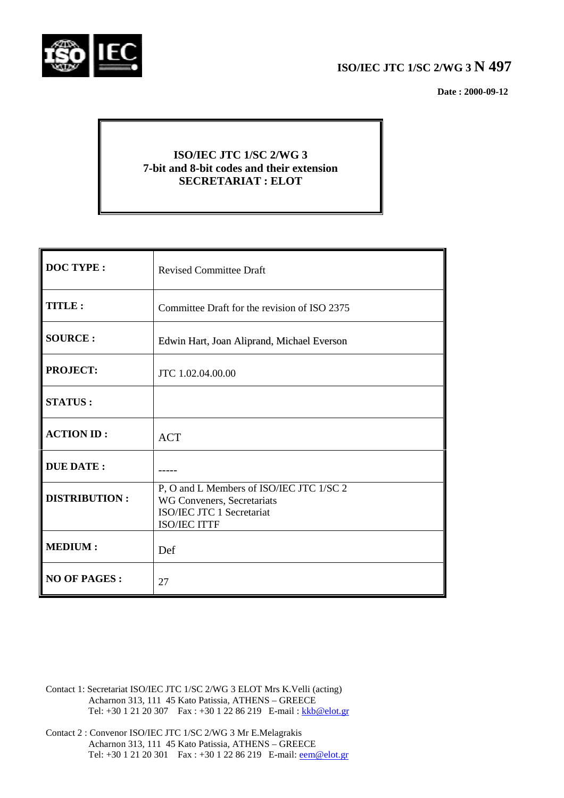

## **ISO/IEC JTC 1/SC 2/WG 3 N 497**

 **Date : 2000-09-12**

## **ISO/IEC JTC 1/SC 2/WG 3 7-bit and 8-bit codes and their extension SECRETARIAT : ELOT**

| <b>DOC TYPE:</b>     | <b>Revised Committee Draft</b>                                                                                      |
|----------------------|---------------------------------------------------------------------------------------------------------------------|
| TITLE:               | Committee Draft for the revision of ISO 2375                                                                        |
| <b>SOURCE:</b>       | Edwin Hart, Joan Aliprand, Michael Everson                                                                          |
| <b>PROJECT:</b>      | JTC 1.02.04.00.00                                                                                                   |
| <b>STATUS:</b>       |                                                                                                                     |
| <b>ACTION ID:</b>    | <b>ACT</b>                                                                                                          |
| <b>DUE DATE:</b>     |                                                                                                                     |
| <b>DISTRIBUTION:</b> | P, O and L Members of ISO/IEC JTC 1/SC 2<br>WG Conveners, Secretariats<br>ISO/IEC JTC 1 Secretariat<br>ISO/IEC ITTF |
| <b>MEDIUM:</b>       | Def                                                                                                                 |
| <b>NO OF PAGES:</b>  | 27                                                                                                                  |

Contact 1: Secretariat ISO/IEC JTC 1/SC 2/WG 3 ELOT Mrs K.Velli (acting) Acharnon 313, 111 45 Kato Patissia, ATHENS – GREECE Tel: +30 1 21 20 307 Fax : +30 1 22 86 219 E-mail : kkb@elot.gr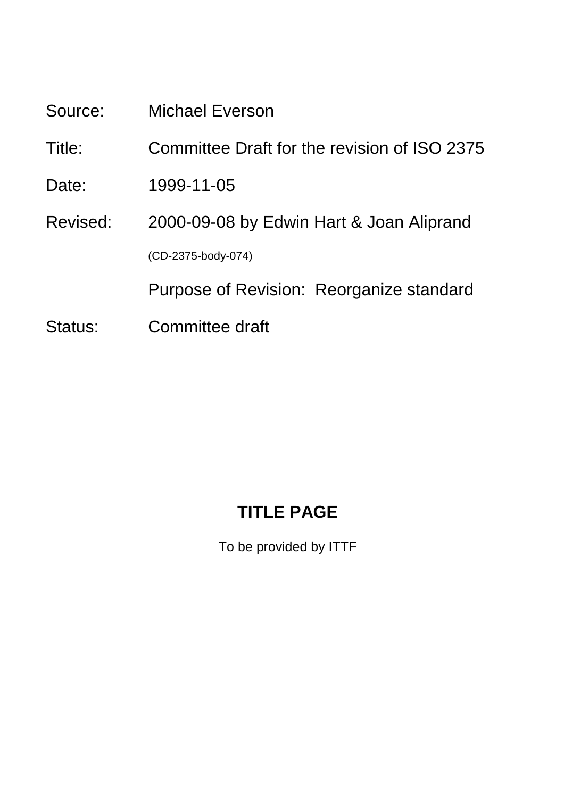Source: Michael Everson

Title: Committee Draft for the revision of ISO 2375

- Date: 1999-11-05
- Revised: 2000-09-08 by Edwin Hart & Joan Aliprand (CD-2375-body-074)

Purpose of Revision: Reorganize standard

Status: Committee draft

# **TITLE PAGE**

To be provided by ITTF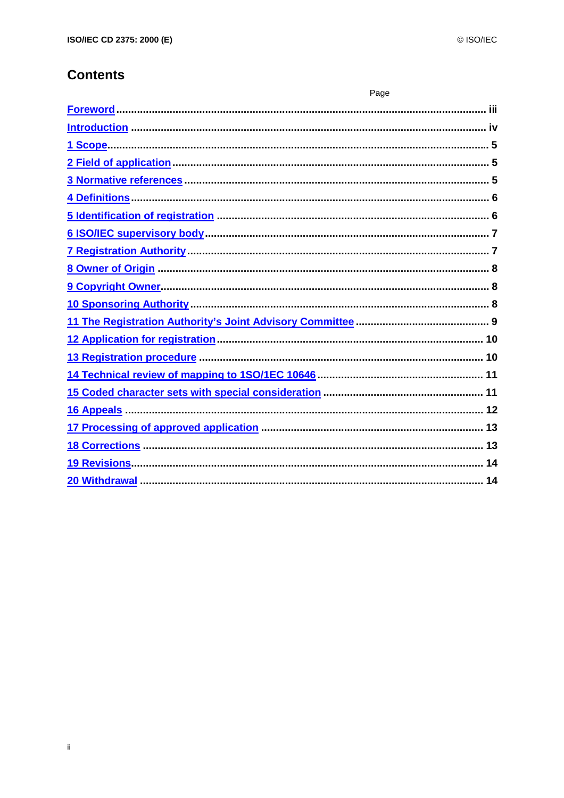## **Contents**

| Page |
|------|
|      |
|      |
|      |
|      |
|      |
|      |
|      |
|      |
|      |
|      |
|      |
|      |
|      |
|      |
|      |
|      |
|      |
|      |
|      |
|      |
|      |
|      |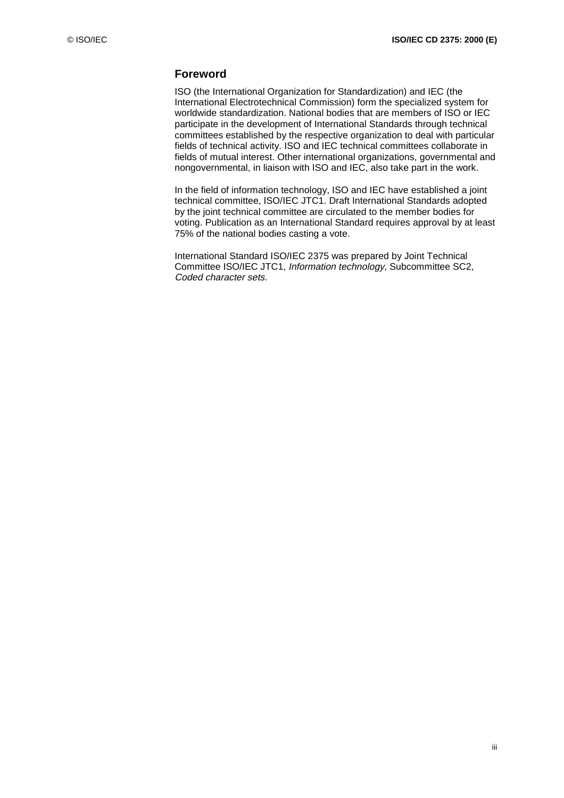## **Foreword**

ISO (the International Organization for Standardization) and IEC (the International Electrotechnical Commission) form the specialized system for worldwide standardization. National bodies that are members of ISO or IEC participate in the development of International Standards through technical committees established by the respective organization to deal with particular fields of technical activity. ISO and IEC technical committees collaborate in fields of mutual interest. Other international organizations, governmental and nongovernmental, in liaison with ISO and IEC, also take part in the work.

In the field of information technology, ISO and IEC have established a joint technical committee, ISO/IEC JTC1. Draft International Standards adopted by the joint technical committee are circulated to the member bodies for voting. Publication as an International Standard requires approval by at least 75% of the national bodies casting a vote.

International Standard ISO/IEC 2375 was prepared by Joint Technical Committee ISO/IEC JTC1, Information technology, Subcommittee SC2, Coded character sets.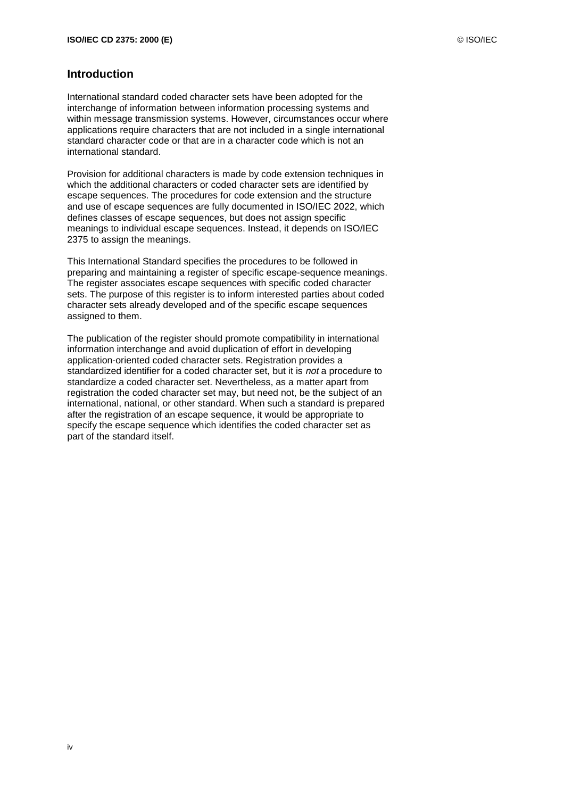#### **Introduction**

International standard coded character sets have been adopted for the interchange of information between information processing systems and within message transmission systems. However, circumstances occur where applications require characters that are not included in a single international standard character code or that are in a character code which is not an international standard.

Provision for additional characters is made by code extension techniques in which the additional characters or coded character sets are identified by escape sequences. The procedures for code extension and the structure and use of escape sequences are fully documented in ISO/IEC 2022, which defines classes of escape sequences, but does not assign specific meanings to individual escape sequences. Instead, it depends on ISO/IEC 2375 to assign the meanings.

This International Standard specifies the procedures to be followed in preparing and maintaining a register of specific escape-sequence meanings. The register associates escape sequences with specific coded character sets. The purpose of this register is to inform interested parties about coded character sets already developed and of the specific escape sequences assigned to them.

The publication of the register should promote compatibility in international information interchange and avoid duplication of effort in developing application-oriented coded character sets. Registration provides a standardized identifier for a coded character set, but it is not a procedure to standardize a coded character set. Nevertheless, as a matter apart from registration the coded character set may, but need not, be the subject of an international, national, or other standard. When such a standard is prepared after the registration of an escape sequence, it would be appropriate to specify the escape sequence which identifies the coded character set as part of the standard itself.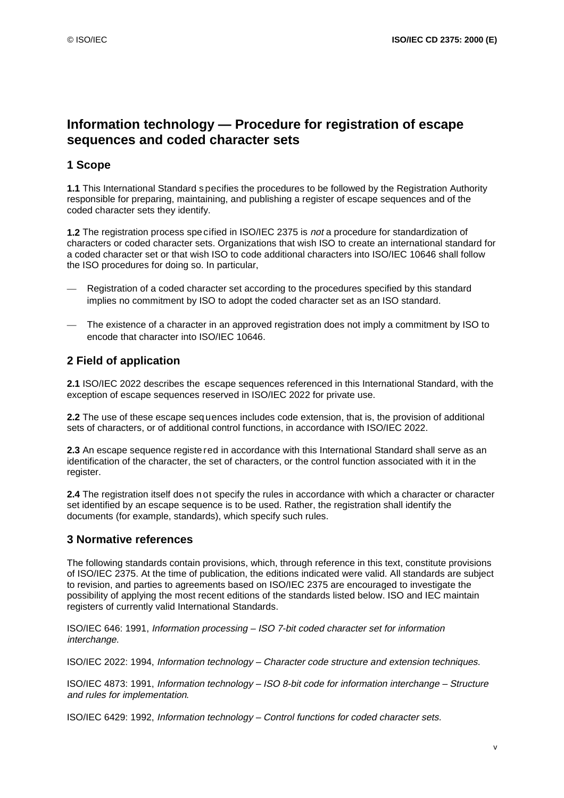## **Information technology — Procedure for registration of escape sequences and coded character sets**

## **1 Scope**

**1.1** This International Standard s pecifies the procedures to be followed by the Registration Authority responsible for preparing, maintaining, and publishing a register of escape sequences and of the coded character sets they identify.

**1.2** The registration process spe cified in ISO/IEC 2375 is not a procedure for standardization of characters or coded character sets. Organizations that wish ISO to create an international standard for a coded character set or that wish ISO to code additional characters into ISO/IEC 10646 shall follow the ISO procedures for doing so. In particular,

- Registration of a coded character set according to the procedures specified by this standard implies no commitment by ISO to adopt the coded character set as an ISO standard.
- The existence of a character in an approved registration does not imply a commitment by ISO to encode that character into ISO/IEC 10646.

## **2 Field of application**

**2.1** ISO/IEC 2022 describes the escape sequences referenced in this International Standard, with the exception of escape sequences reserved in ISO/IEC 2022 for private use.

**2.2** The use of these escape seq uences includes code extension, that is, the provision of additional sets of characters, or of additional control functions, in accordance with ISO/IEC 2022.

**2.3** An escape sequence registe red in accordance with this International Standard shall serve as an identification of the character, the set of characters, or the control function associated with it in the register.

**2.4** The registration itself does n ot specify the rules in accordance with which a character or character set identified by an escape sequence is to be used. Rather, the registration shall identify the documents (for example, standards), which specify such rules.

## **3 Normative references**

The following standards contain provisions, which, through reference in this text, constitute provisions of ISO/IEC 2375. At the time of publication, the editions indicated were valid. All standards are subject to revision, and parties to agreements based on ISO/IEC 2375 are encouraged to investigate the possibility of applying the most recent editions of the standards listed below. ISO and IEC maintain registers of currently valid International Standards.

ISO/IEC 646: 1991, Information processing – ISO 7-bit coded character set for information interchange.

ISO/IEC 2022: 1994, Information technology – Character code structure and extension techniques.

ISO/IEC 4873: 1991, Information technology – ISO 8-bit code for information interchange – Structure and rules for implementation.

ISO/IEC 6429: 1992, Information technology – Control functions for coded character sets.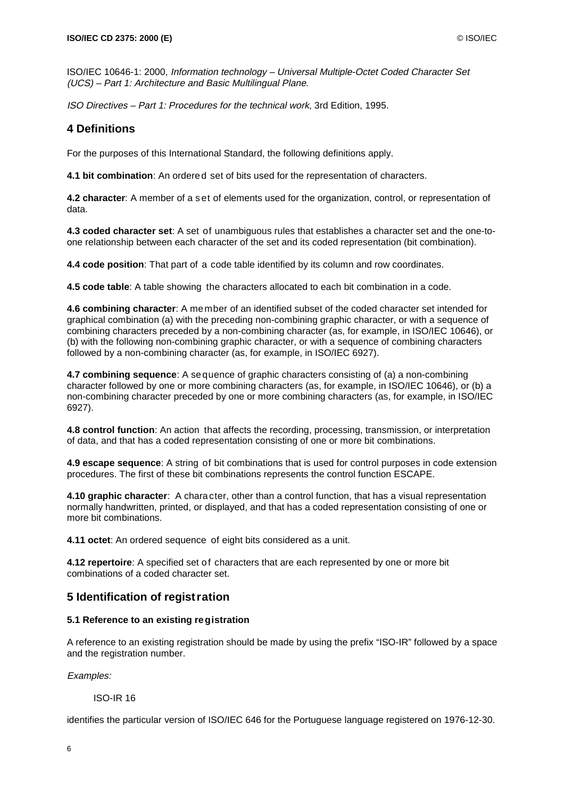ISO/IEC 10646-1: 2000, Information technology – Universal Multiple-Octet Coded Character Set (UCS) – Part 1: Architecture and Basic Multilingual Plane.

ISO Directives – Part 1: Procedures for the technical work, 3rd Edition, 1995.

## **4 Definitions**

For the purposes of this International Standard, the following definitions apply.

**4.1 bit combination**: An ordere d set of bits used for the representation of characters.

**4.2 character**: A member of a s et of elements used for the organization, control, or representation of data.

**4.3 coded character set**: A set of unambiguous rules that establishes a character set and the one-toone relationship between each character of the set and its coded representation (bit combination).

**4.4 code position**: That part of a code table identified by its column and row coordinates.

**4.5 code table**: A table showing the characters allocated to each bit combination in a code.

**4.6 combining character**: A member of an identified subset of the coded character set intended for graphical combination (a) with the preceding non-combining graphic character, or with a sequence of combining characters preceded by a non-combining character (as, for example, in ISO/IEC 10646), or (b) with the following non-combining graphic character, or with a sequence of combining characters followed by a non-combining character (as, for example, in ISO/IEC 6927).

**4.7 combining sequence**: A se quence of graphic characters consisting of (a) a non-combining character followed by one or more combining characters (as, for example, in ISO/IEC 10646), or (b) a non-combining character preceded by one or more combining characters (as, for example, in ISO/IEC 6927).

**4.8 control function**: An action that affects the recording, processing, transmission, or interpretation of data, and that has a coded representation consisting of one or more bit combinations.

**4.9 escape sequence**: A string of bit combinations that is used for control purposes in code extension procedures. The first of these bit combinations represents the control function ESCAPE.

**4.10 graphic character**: A chara cter, other than a control function, that has a visual representation normally handwritten, printed, or displayed, and that has a coded representation consisting of one or more bit combinations.

**4.11 octet**: An ordered sequence of eight bits considered as a unit.

4.12 repertoire: A specified set of characters that are each represented by one or more bit combinations of a coded character set.

## **5 Identification of registration**

#### **5.1 Reference to an existing re gistration**

A reference to an existing registration should be made by using the prefix "ISO-IR" followed by a space and the registration number.

Examples:

ISO-IR 16

identifies the particular version of ISO/IEC 646 for the Portuguese language registered on 1976-12-30.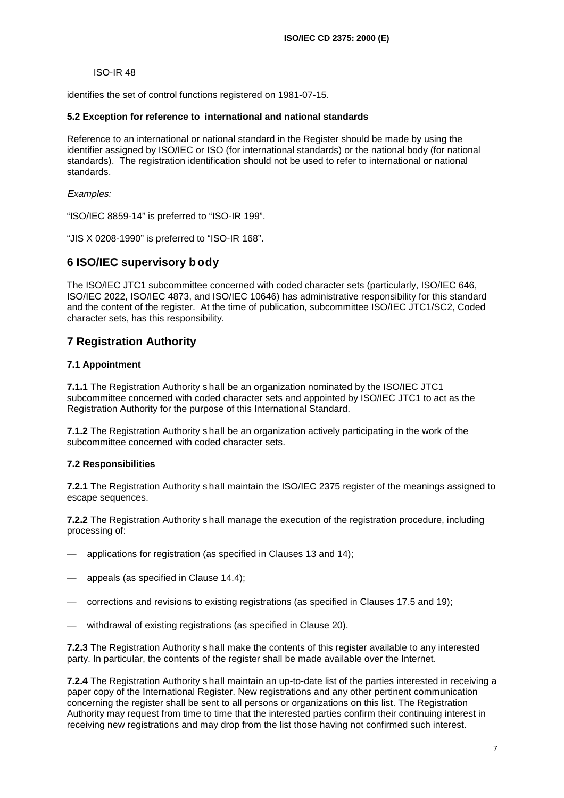#### ISO-IR 48

identifies the set of control functions registered on 1981-07-15.

#### **5.2 Exception for reference to international and national standards**

Reference to an international or national standard in the Register should be made by using the identifier assigned by ISO/IEC or ISO (for international standards) or the national body (for national standards). The registration identification should not be used to refer to international or national standards.

Examples:

"ISO/IEC 8859-14" is preferred to "ISO-IR 199".

"JIS X 0208-1990" is preferred to "ISO-IR 168".

## **6 ISO/IEC supervisory b ody**

The ISO/IEC JTC1 subcommittee concerned with coded character sets (particularly, ISO/IEC 646, ISO/IEC 2022, ISO/IEC 4873, and ISO/IEC 10646) has administrative responsibility for this standard and the content of the register. At the time of publication, subcommittee ISO/IEC JTC1/SC2, Coded character sets, has this responsibility.

## **7 Registration Authority**

#### **7.1 Appointment**

**7.1.1** The Registration Authority s hall be an organization nominated by the ISO/IEC JTC1 subcommittee concerned with coded character sets and appointed by ISO/IEC JTC1 to act as the Registration Authority for the purpose of this International Standard.

**7.1.2** The Registration Authority s hall be an organization actively participating in the work of the subcommittee concerned with coded character sets.

#### **7.2 Responsibilities**

**7.2.1** The Registration Authority s hall maintain the ISO/IEC 2375 register of the meanings assigned to escape sequences.

**7.2.2** The Registration Authority s hall manage the execution of the registration procedure, including processing of:

- applications for registration (as specified in Clauses 13 and 14):
- appeals (as specified in Clause 14.4);
- corrections and revisions to existing registrations (as specified in Clauses 17.5 and 19);
- withdrawal of existing registrations (as specified in Clause 20).

**7.2.3** The Registration Authority s hall make the contents of this register available to any interested party. In particular, the contents of the register shall be made available over the Internet.

**7.2.4** The Registration Authority s hall maintain an up-to-date list of the parties interested in receiving a paper copy of the International Register. New registrations and any other pertinent communication concerning the register shall be sent to all persons or organizations on this list. The Registration Authority may request from time to time that the interested parties confirm their continuing interest in receiving new registrations and may drop from the list those having not confirmed such interest.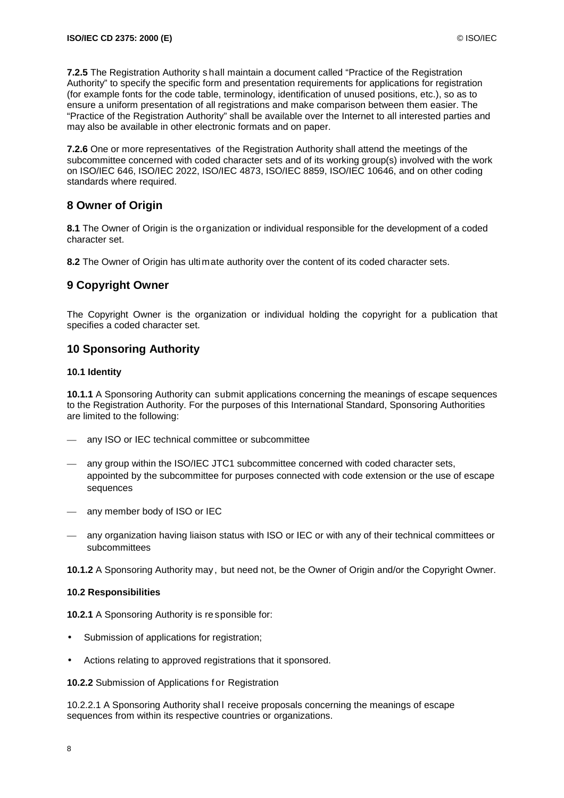**7.2.5** The Registration Authority s hall maintain a document called "Practice of the Registration Authority" to specify the specific form and presentation requirements for applications for registration (for example fonts for the code table, terminology, identification of unused positions, etc.), so as to ensure a uniform presentation of all registrations and make comparison between them easier. The "Practice of the Registration Authority" shall be available over the Internet to all interested parties and may also be available in other electronic formats and on paper.

**7.2.6** One or more representatives of the Registration Authority shall attend the meetings of the subcommittee concerned with coded character sets and of its working group(s) involved with the work on ISO/IEC 646, ISO/IEC 2022, ISO/IEC 4873, ISO/IEC 8859, ISO/IEC 10646, and on other coding standards where required.

## **8 Owner of Origin**

**8.1** The Owner of Origin is the o rganization or individual responsible for the development of a coded character set.

**8.2** The Owner of Origin has ultimate authority over the content of its coded character sets.

## **9 Copyright Owner**

The Copyright Owner is the organization or individual holding the copyright for a publication that specifies a coded character set.

## **10 Sponsoring Authority**

#### **10.1 Identity**

**10.1.1** A Sponsoring Authority can submit applications concerning the meanings of escape sequences to the Registration Authority. For the purposes of this International Standard, Sponsoring Authorities are limited to the following:

- any ISO or IEC technical committee or subcommittee
- any group within the ISO/IEC JTC1 subcommittee concerned with coded character sets, appointed by the subcommittee for purposes connected with code extension or the use of escape sequences
- any member body of ISO or IEC
- any organization having liaison status with ISO or IEC or with any of their technical committees or subcommittees

**10.1.2** A Sponsoring Authority may, but need not, be the Owner of Origin and/or the Copyright Owner.

#### **10.2 Responsibilities**

**10.2.1** A Sponsoring Authority is re sponsible for:

- Submission of applications for registration;
- Actions relating to approved registrations that it sponsored.

**10.2.2** Submission of Applications for Registration

10.2.2.1 A Sponsoring Authority shal l receive proposals concerning the meanings of escape sequences from within its respective countries or organizations.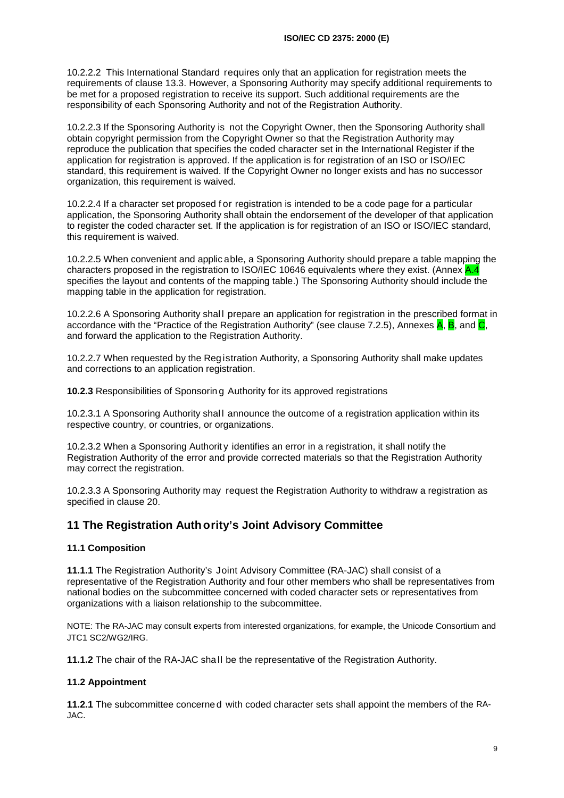10.2.2.2 This International Standard requires only that an application for registration meets the requirements of clause 13.3. However, a Sponsoring Authority may specify additional requirements to be met for a proposed registration to receive its support. Such additional requirements are the responsibility of each Sponsoring Authority and not of the Registration Authority.

10.2.2.3 If the Sponsoring Authority is not the Copyright Owner, then the Sponsoring Authority shall obtain copyright permission from the Copyright Owner so that the Registration Authority may reproduce the publication that specifies the coded character set in the International Register if the application for registration is approved. If the application is for registration of an ISO or ISO/IEC standard, this requirement is waived. If the Copyright Owner no longer exists and has no successor organization, this requirement is waived.

10.2.2.4 If a character set proposed f or registration is intended to be a code page for a particular application, the Sponsoring Authority shall obtain the endorsement of the developer of that application to register the coded character set. If the application is for registration of an ISO or ISO/IEC standard, this requirement is waived.

10.2.2.5 When convenient and applic able, a Sponsoring Authority should prepare a table mapping the characters proposed in the registration to ISO/IEC 10646 equivalents where they exist. (Annex A.4 specifies the layout and contents of the mapping table.) The Sponsoring Authority should include the mapping table in the application for registration.

10.2.2.6 A Sponsoring Authority shall prepare an application for registration in the prescribed format in accordance with the "Practice of the Registration Authority" (see clause 7.2.5), Annexes  $\mathsf{A}, \mathsf{B}, \text{and} \mathsf{C},$ and forward the application to the Registration Authority.

10.2.2.7 When requested by the Reg istration Authority, a Sponsoring Authority shall make updates and corrections to an application registration.

**10.2.3** Responsibilities of Sponsorin g Authority for its approved registrations

10.2.3.1 A Sponsoring Authority shall announce the outcome of a registration application within its respective country, or countries, or organizations.

10.2.3.2 When a Sponsoring Authorit y identifies an error in a registration, it shall notify the Registration Authority of the error and provide corrected materials so that the Registration Authority may correct the registration.

10.2.3.3 A Sponsoring Authority may request the Registration Authority to withdraw a registration as specified in clause 20.

## **11 The Registration Auth ority's Joint Advisory Committee**

#### **11.1 Composition**

**11.1.1** The Registration Authority's Joint Advisory Committee (RA-JAC) shall consist of a representative of the Registration Authority and four other members who shall be representatives from national bodies on the subcommittee concerned with coded character sets or representatives from organizations with a liaison relationship to the subcommittee.

NOTE: The RA-JAC may consult experts from interested organizations, for example, the Unicode Consortium and JTC1 SC2/WG2/IRG.

**11.1.2** The chair of the RA-JAC sha ll be the representative of the Registration Authority.

#### **11.2 Appointment**

**11.2.1** The subcommittee concerne d with coded character sets shall appoint the members of the RA-JAC.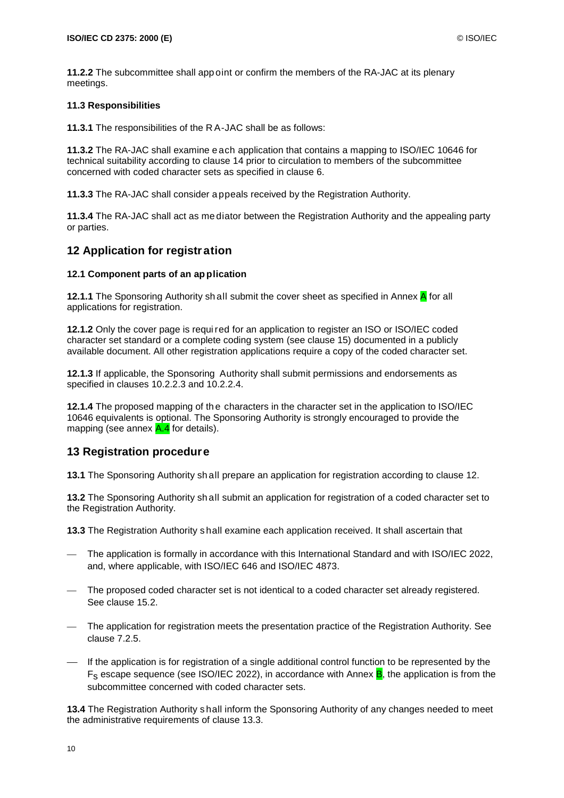**11.2.2** The subcommittee shall app oint or confirm the members of the RA-JAC at its plenary meetings.

#### **11.3 Responsibilities**

**11.3.1** The responsibilities of the R A-JAC shall be as follows:

**11.3.2** The RA-JAC shall examine e ach application that contains a mapping to ISO/IEC 10646 for technical suitability according to clause 14 prior to circulation to members of the subcommittee concerned with coded character sets as specified in clause 6.

**11.3.3** The RA-JAC shall consider a ppeals received by the Registration Authority.

**11.3.4** The RA-JAC shall act as me diator between the Registration Authority and the appealing party or parties.

## **12 Application for registration**

#### **12.1 Component parts of an ap plication**

**12.1.1** The Sponsoring Authority shall submit the cover sheet as specified in Annex A for all applications for registration.

**12.1.2** Only the cover page is requi red for an application to register an ISO or ISO/IEC coded character set standard or a complete coding system (see clause 15) documented in a publicly available document. All other registration applications require a copy of the coded character set.

**12.1.3** If applicable, the Sponsoring Authority shall submit permissions and endorsements as specified in clauses 10.2.2.3 and 10.2.2.4.

**12.1.4** The proposed mapping of th e characters in the character set in the application to ISO/IEC 10646 equivalents is optional. The Sponsoring Authority is strongly encouraged to provide the mapping (see annex  $A.4$  for details).

## **13 Registration procedure**

**13.1** The Sponsoring Authority sh all prepare an application for registration according to clause 12.

**13.2** The Sponsoring Authority sh all submit an application for registration of a coded character set to the Registration Authority.

**13.3** The Registration Authority s hall examine each application received. It shall ascertain that

- The application is formally in accordance with this International Standard and with ISO/IEC 2022, and, where applicable, with ISO/IEC 646 and ISO/IEC 4873.
- The proposed coded character set is not identical to a coded character set already registered. See clause 15.2.
- The application for registration meets the presentation practice of the Registration Authority. See clause 7.2.5.
- If the application is for registration of a single additional control function to be represented by the  $F_s$  escape sequence (see ISO/IEC 2022), in accordance with Annex  $B<sub>i</sub>$ , the application is from the subcommittee concerned with coded character sets.

**13.4** The Registration Authority s hall inform the Sponsoring Authority of any changes needed to meet the administrative requirements of clause 13.3.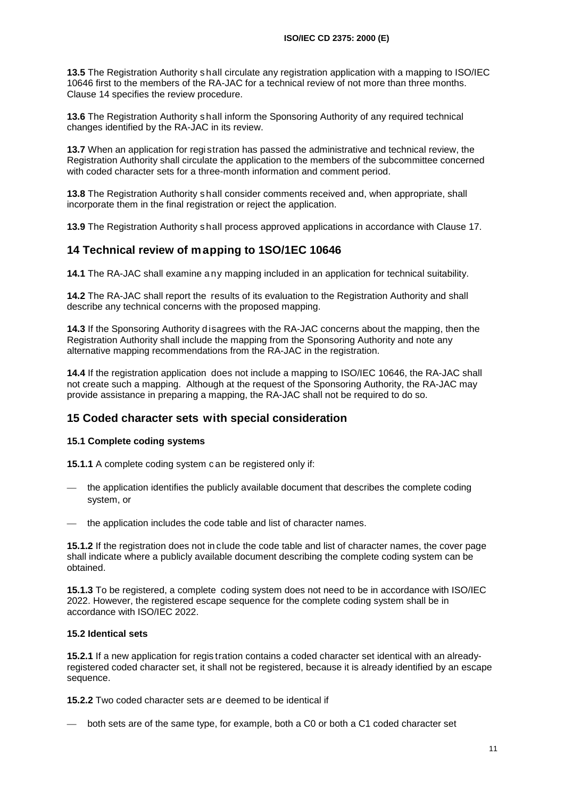**13.5** The Registration Authority s hall circulate any registration application with a mapping to ISO/IEC 10646 first to the members of the RA-JAC for a technical review of not more than three months. Clause 14 specifies the review procedure.

**13.6** The Registration Authority s hall inform the Sponsoring Authority of any required technical changes identified by the RA-JAC in its review.

**13.7** When an application for registration has passed the administrative and technical review, the Registration Authority shall circulate the application to the members of the subcommittee concerned with coded character sets for a three-month information and comment period.

**13.8** The Registration Authority s hall consider comments received and, when appropriate, shall incorporate them in the final registration or reject the application.

**13.9** The Registration Authority s hall process approved applications in accordance with Clause 17.

## **14 Technical review of mapping to 1SO/1EC 10646**

**14.1** The RA-JAC shall examine a ny mapping included in an application for technical suitability.

**14.2** The RA-JAC shall report the results of its evaluation to the Registration Authority and shall describe any technical concerns with the proposed mapping.

**14.3** If the Sponsoring Authority d isagrees with the RA-JAC concerns about the mapping, then the Registration Authority shall include the mapping from the Sponsoring Authority and note any alternative mapping recommendations from the RA-JAC in the registration.

**14.4** If the registration application does not include a mapping to ISO/IEC 10646, the RA-JAC shall not create such a mapping. Although at the request of the Sponsoring Authority, the RA-JAC may provide assistance in preparing a mapping, the RA-JAC shall not be required to do so.

## **15 Coded character sets with special consideration**

#### **15.1 Complete coding systems**

**15.1.1** A complete coding system c an be registered only if:

- the application identifies the publicly available document that describes the complete coding system, or
- the application includes the code table and list of character names.

**15.1.2** If the registration does not in clude the code table and list of character names, the cover page shall indicate where a publicly available document describing the complete coding system can be obtained.

**15.1.3** To be registered, a complete coding system does not need to be in accordance with ISO/IEC 2022. However, the registered escape sequence for the complete coding system shall be in accordance with ISO/IEC 2022.

#### **15.2 Identical sets**

**15.2.1** If a new application for regis tration contains a coded character set identical with an alreadyregistered coded character set, it shall not be registered, because it is already identified by an escape sequence.

**15.2.2** Two coded character sets ar e deemed to be identical if

— both sets are of the same type, for example, both a C0 or both a C1 coded character set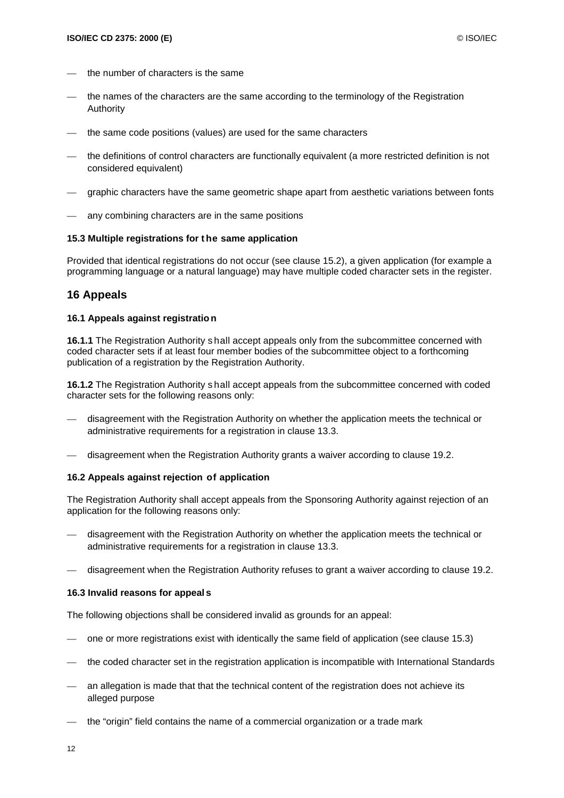- the number of characters is the same
- the names of the characters are the same according to the terminology of the Registration Authority
- the same code positions (values) are used for the same characters
- the definitions of control characters are functionally equivalent (a more restricted definition is not considered equivalent)
- graphic characters have the same geometric shape apart from aesthetic variations between fonts
- any combining characters are in the same positions

#### **15.3 Multiple registrations for t he same application**

Provided that identical registrations do not occur (see clause 15.2), a given application (for example a programming language or a natural language) may have multiple coded character sets in the register.

## **16 Appeals**

#### **16.1 Appeals against registratio n**

**16.1.1** The Registration Authority s hall accept appeals only from the subcommittee concerned with coded character sets if at least four member bodies of the subcommittee object to a forthcoming publication of a registration by the Registration Authority.

**16.1.2** The Registration Authority s hall accept appeals from the subcommittee concerned with coded character sets for the following reasons only:

- disagreement with the Registration Authority on whether the application meets the technical or administrative requirements for a registration in clause 13.3.
- disagreement when the Registration Authority grants a waiver according to clause 19.2.

#### **16.2 Appeals against rejection of application**

The Registration Authority shall accept appeals from the Sponsoring Authority against rejection of an application for the following reasons only:

- disagreement with the Registration Authority on whether the application meets the technical or administrative requirements for a registration in clause 13.3.
- disagreement when the Registration Authority refuses to grant a waiver according to clause 19.2.

#### **16.3 Invalid reasons for appeal s**

The following objections shall be considered invalid as grounds for an appeal:

- one or more registrations exist with identically the same field of application (see clause 15.3)
- the coded character set in the registration application is incompatible with International Standards
- an allegation is made that that the technical content of the registration does not achieve its alleged purpose
- the "origin" field contains the name of a commercial organization or a trade mark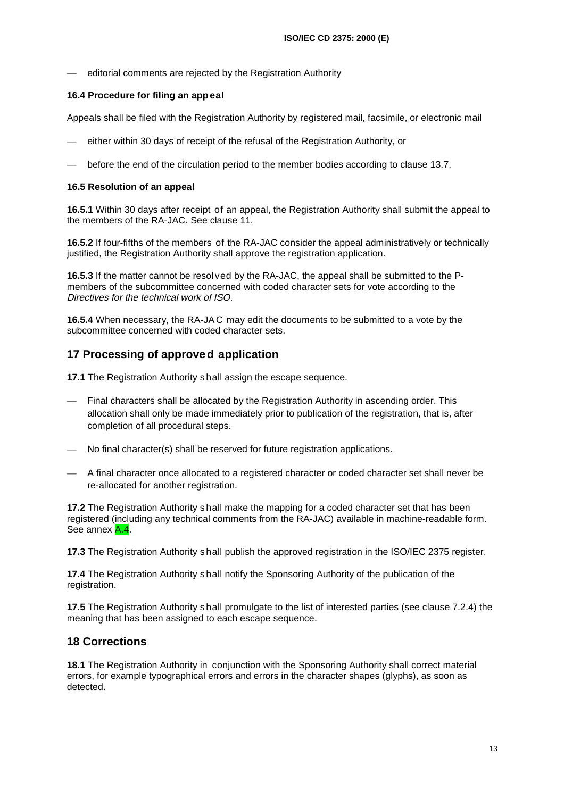editorial comments are rejected by the Registration Authority

#### **16.4 Procedure for filing an app eal**

Appeals shall be filed with the Registration Authority by registered mail, facsimile, or electronic mail

- either within 30 days of receipt of the refusal of the Registration Authority, or
- before the end of the circulation period to the member bodies according to clause 13.7.

#### **16.5 Resolution of an appeal**

**16.5.1** Within 30 days after receipt of an appeal, the Registration Authority shall submit the appeal to the members of the RA-JAC. See clause 11.

**16.5.2** If four-fifths of the members of the RA-JAC consider the appeal administratively or technically justified, the Registration Authority shall approve the registration application.

**16.5.3** If the matter cannot be resol ved by the RA-JAC, the appeal shall be submitted to the Pmembers of the subcommittee concerned with coded character sets for vote according to the Directives for the technical work of ISO.

**16.5.4** When necessary, the RA-JA C may edit the documents to be submitted to a vote by the subcommittee concerned with coded character sets.

## **17 Processing of approved application**

**17.1** The Registration Authority s hall assign the escape sequence.

- Final characters shall be allocated by the Registration Authority in ascending order. This allocation shall only be made immediately prior to publication of the registration, that is, after completion of all procedural steps.
- No final character(s) shall be reserved for future registration applications.
- A final character once allocated to a registered character or coded character set shall never be re-allocated for another registration.

**17.2** The Registration Authority s hall make the mapping for a coded character set that has been registered (including any technical comments from the RA-JAC) available in machine-readable form. See annex A.4.

**17.3** The Registration Authority s hall publish the approved registration in the ISO/IEC 2375 register.

**17.4** The Registration Authority s hall notify the Sponsoring Authority of the publication of the registration.

**17.5** The Registration Authority s hall promulgate to the list of interested parties (see clause 7.2.4) the meaning that has been assigned to each escape sequence.

## **18 Corrections**

**18.1** The Registration Authority in conjunction with the Sponsoring Authority shall correct material errors, for example typographical errors and errors in the character shapes (glyphs), as soon as detected.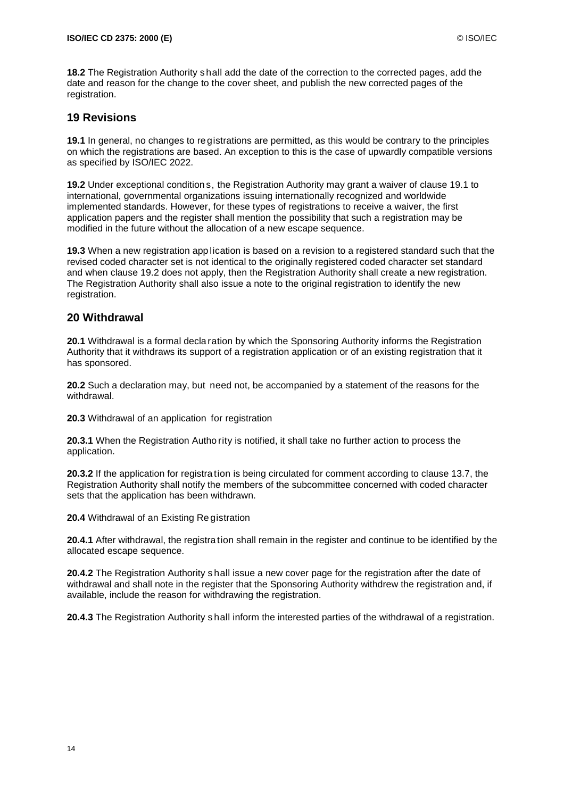**18.2** The Registration Authority s hall add the date of the correction to the corrected pages, add the date and reason for the change to the cover sheet, and publish the new corrected pages of the registration.

## **19 Revisions**

**19.1** In general, no changes to re gistrations are permitted, as this would be contrary to the principles on which the registrations are based. An exception to this is the case of upwardly compatible versions as specified by ISO/IEC 2022.

**19.2** Under exceptional condition s, the Registration Authority may grant a waiver of clause 19.1 to international, governmental organizations issuing internationally recognized and worldwide implemented standards. However, for these types of registrations to receive a waiver, the first application papers and the register shall mention the possibility that such a registration may be modified in the future without the allocation of a new escape sequence.

**19.3** When a new registration app lication is based on a revision to a registered standard such that the revised coded character set is not identical to the originally registered coded character set standard and when clause 19.2 does not apply, then the Registration Authority shall create a new registration. The Registration Authority shall also issue a note to the original registration to identify the new registration.

## **20 Withdrawal**

**20.1** Withdrawal is a formal decla ration by which the Sponsoring Authority informs the Registration Authority that it withdraws its support of a registration application or of an existing registration that it has sponsored.

**20.2** Such a declaration may, but need not, be accompanied by a statement of the reasons for the withdrawal.

**20.3** Withdrawal of an application for registration

**20.3.1** When the Registration Autho rity is notified, it shall take no further action to process the application.

**20.3.2** If the application for registra tion is being circulated for comment according to clause 13.7, the Registration Authority shall notify the members of the subcommittee concerned with coded character sets that the application has been withdrawn.

**20.4** Withdrawal of an Existing Re gistration

**20.4.1** After withdrawal, the registra tion shall remain in the register and continue to be identified by the allocated escape sequence.

**20.4.2** The Registration Authority s hall issue a new cover page for the registration after the date of withdrawal and shall note in the register that the Sponsoring Authority withdrew the registration and, if available, include the reason for withdrawing the registration.

**20.4.3** The Registration Authority s hall inform the interested parties of the withdrawal of a registration.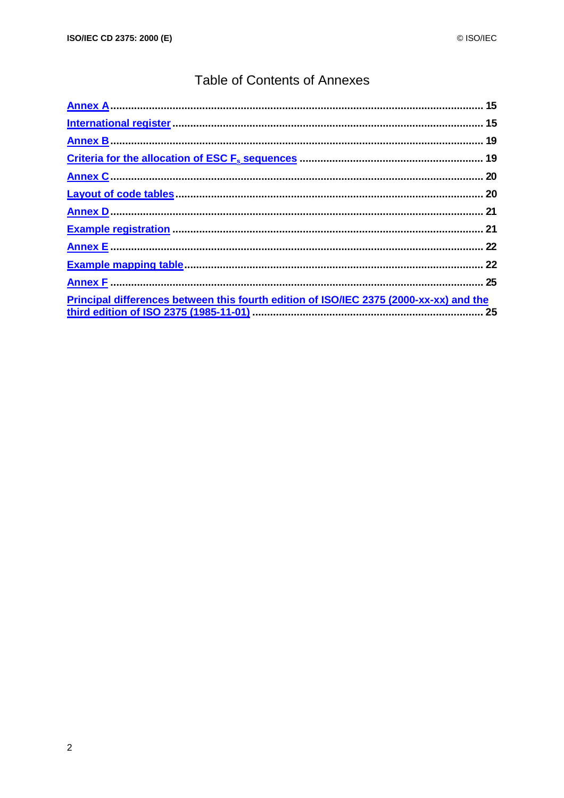## **Table of Contents of Annexes**

| Principal differences between this fourth edition of ISO/IEC 2375 (2000-xx-xx) and the |  |
|----------------------------------------------------------------------------------------|--|
|                                                                                        |  |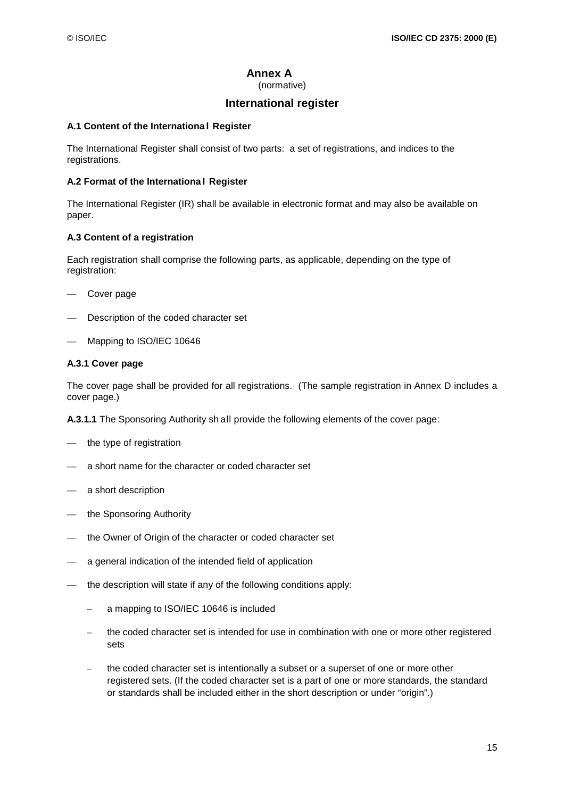## **Annex A**

(normative)

## **International register**

#### **A.1 Content of the Internationa l Register**

The International Register shall consist of two parts: a set of registrations, and indices to the registrations.

### **A.2 Format of the Internationa l Register**

The International Register (IR) shall be available in electronic format and may also be available on paper.

#### **A.3 Content of a registration**

Each registration shall comprise the following parts, as applicable, depending on the type of registration:

- Cover page
- Description of the coded character set
- Mapping to ISO/IEC 10646

#### **A.3.1 Cover page**

The cover page shall be provided for all registrations. (The sample registration in Annex D includes a cover page.)

**A.3.1.1** The Sponsoring Authority sh all provide the following elements of the cover page:

- the type of registration
- a short name for the character or coded character set
- a short description
- the Sponsoring Authority
- the Owner of Origin of the character or coded character set
- a general indication of the intended field of application
- the description will state if any of the following conditions apply:
	- a mapping to ISO/IEC 10646 is included
	- the coded character set is intended for use in combination with one or more other registered sets
	- the coded character set is intentionally a subset or a superset of one or more other registered sets. (If the coded character set is a part of one or more standards, the standard or standards shall be included either in the short description or under "origin".)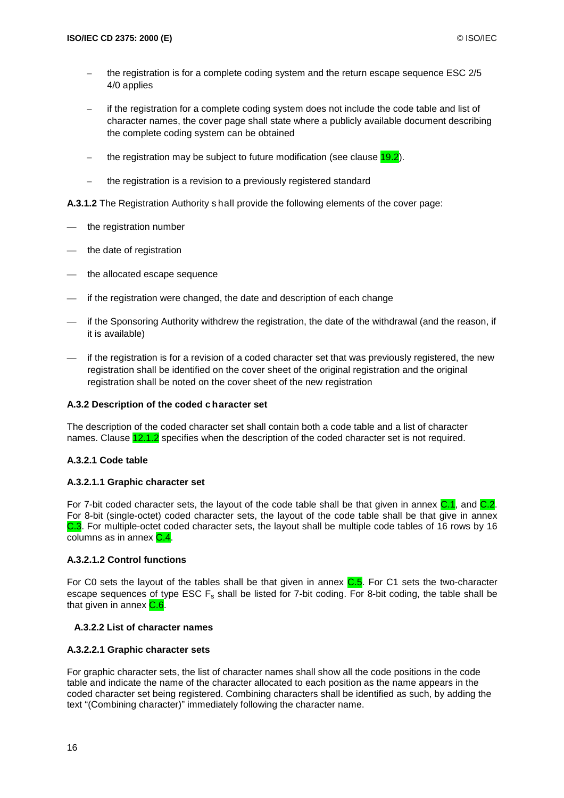- the registration is for a complete coding system and the return escape sequence ESC 2/5 4/0 applies
- if the registration for a complete coding system does not include the code table and list of character names, the cover page shall state where a publicly available document describing the complete coding system can be obtained
- the registration may be subject to future modification (see clause  $19.2$ ).
- the registration is a revision to a previously registered standard

**A.3.1.2** The Registration Authority s hall provide the following elements of the cover page:

- the registration number
- the date of registration
- the allocated escape sequence
- if the registration were changed, the date and description of each change
- if the Sponsoring Authority withdrew the registration, the date of the withdrawal (and the reason, if it is available)
- if the registration is for a revision of a coded character set that was previously registered, the new registration shall be identified on the cover sheet of the original registration and the original registration shall be noted on the cover sheet of the new registration

#### **A.3.2 Description of the coded c haracter set**

The description of the coded character set shall contain both a code table and a list of character names. Clause 12.1.2 specifies when the description of the coded character set is not required.

#### **A.3.2.1 Code table**

#### **A.3.2.1.1 Graphic character set**

For 7-bit coded character sets, the layout of the code table shall be that given in annex C.1, and C.2. For 8-bit (single-octet) coded character sets, the layout of the code table shall be that give in annex C.3. For multiple-octet coded character sets, the layout shall be multiple code tables of 16 rows by 16 columns as in annex  $C.4$ .

### **A.3.2.1.2 Control functions**

For C0 sets the layout of the tables shall be that given in annex  $C.5$ . For C1 sets the two-character escape sequences of type ESC  $F_s$  shall be listed for 7-bit coding. For 8-bit coding, the table shall be that given in annex C.6.

#### **A.3.2.2 List of character names**

#### **A.3.2.2.1 Graphic character sets**

For graphic character sets, the list of character names shall show all the code positions in the code table and indicate the name of the character allocated to each position as the name appears in the coded character set being registered. Combining characters shall be identified as such, by adding the text "(Combining character)" immediately following the character name.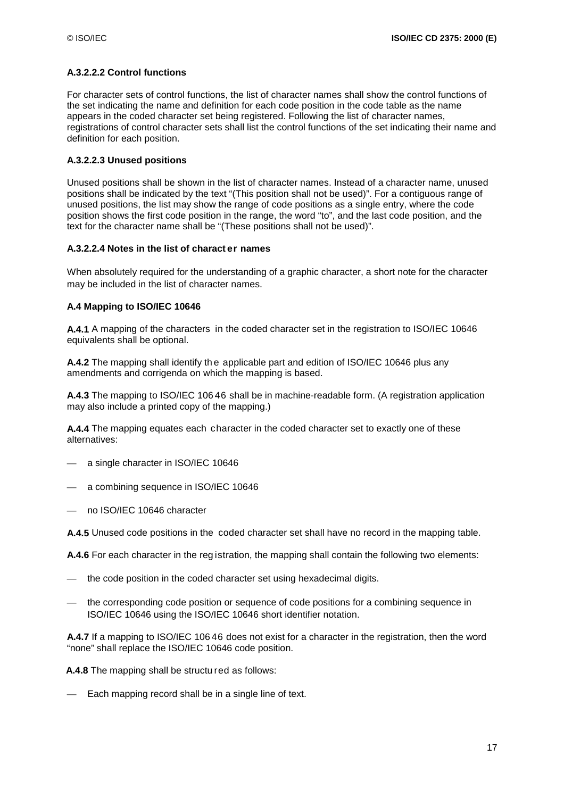## **A.3.2.2.2 Control functions**

For character sets of control functions, the list of character names shall show the control functions of the set indicating the name and definition for each code position in the code table as the name appears in the coded character set being registered. Following the list of character names, registrations of control character sets shall list the control functions of the set indicating their name and definition for each position.

#### **A.3.2.2.3 Unused positions**

Unused positions shall be shown in the list of character names. Instead of a character name, unused positions shall be indicated by the text "(This position shall not be used)". For a contiguous range of unused positions, the list may show the range of code positions as a single entry, where the code position shows the first code position in the range, the word "to", and the last code position, and the text for the character name shall be "(These positions shall not be used)".

#### **A.3.2.2.4 Notes in the list of charact er names**

When absolutely required for the understanding of a graphic character, a short note for the character may be included in the list of character names.

#### **A.4 Mapping to ISO/IEC 10646**

**A.4.1** A mapping of the characters in the coded character set in the registration to ISO/IEC 10646 equivalents shall be optional.

**A.4.2** The mapping shall identify th e applicable part and edition of ISO/IEC 10646 plus any amendments and corrigenda on which the mapping is based.

**A.4.3** The mapping to ISO/IEC 106 46 shall be in machine-readable form. (A registration application may also include a printed copy of the mapping.)

**A.4.4** The mapping equates each character in the coded character set to exactly one of these alternatives:

- a single character in ISO/IEC 10646
- a combining sequence in ISO/IEC 10646
- no ISO/IEC 10646 character

**A.4.5** Unused code positions in the coded character set shall have no record in the mapping table.

**A.4.6** For each character in the reg istration, the mapping shall contain the following two elements:

- the code position in the coded character set using hexadecimal digits.
- the corresponding code position or sequence of code positions for a combining sequence in ISO/IEC 10646 using the ISO/IEC 10646 short identifier notation.

**A.4.7** If a mapping to ISO/IEC 106 46 does not exist for a character in the registration, then the word "none" shall replace the ISO/IEC 10646 code position.

**A.4.8** The mapping shall be structu red as follows:

— Each mapping record shall be in a single line of text.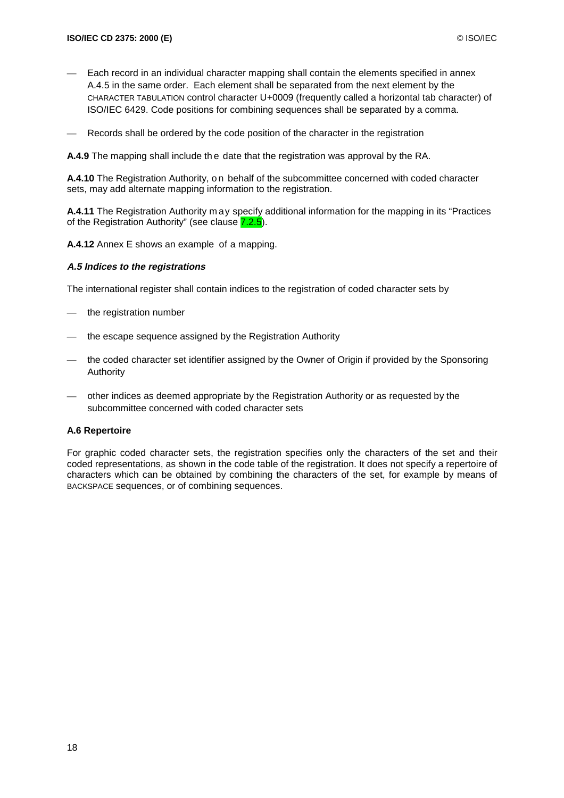- Each record in an individual character mapping shall contain the elements specified in annex A.4.5 in the same order. Each element shall be separated from the next element by the CHARACTER TABULATION control character U+0009 (frequently called a horizontal tab character) of ISO/IEC 6429. Code positions for combining sequences shall be separated by a comma.
- Records shall be ordered by the code position of the character in the registration

**A.4.9** The mapping shall include th e date that the registration was approval by the RA.

**A.4.10** The Registration Authority, on behalf of the subcommittee concerned with coded character sets, may add alternate mapping information to the registration.

**A.4.11** The Registration Authority m ay specify additional information for the mapping in its "Practices of the Registration Authority" (see clause 7.2.5).

**A.4.12** Annex E shows an example of a mapping.

#### **A.5 Indices to the registrations**

The international register shall contain indices to the registration of coded character sets by

- the registration number
- the escape sequence assigned by the Registration Authority
- the coded character set identifier assigned by the Owner of Origin if provided by the Sponsoring Authority
- other indices as deemed appropriate by the Registration Authority or as requested by the subcommittee concerned with coded character sets

#### **A.6 Repertoire**

For graphic coded character sets, the registration specifies only the characters of the set and their coded representations, as shown in the code table of the registration. It does not specify a repertoire of characters which can be obtained by combining the characters of the set, for example by means of BACKSPACE sequences, or of combining sequences.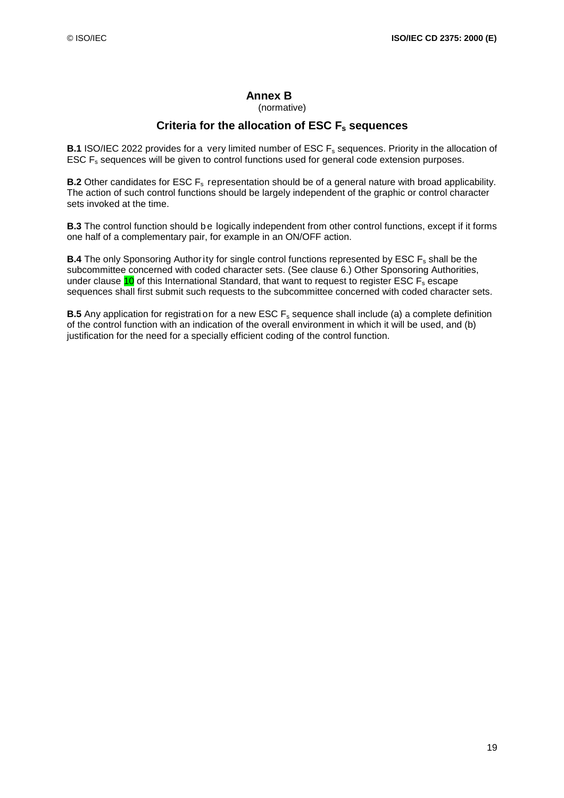## **Annex B**

(normative)

## Criteria for the allocation of ESC F<sub>s</sub> sequences

**B.1** ISO/IEC 2022 provides for a very limited number of ESC F<sub>s</sub> sequences. Priority in the allocation of ESC F<sub>s</sub> sequences will be given to control functions used for general code extension purposes.

**B.2** Other candidates for ESC F<sub>s</sub> representation should be of a general nature with broad applicability. The action of such control functions should be largely independent of the graphic or control character sets invoked at the time.

**B.3** The control function should be logically independent from other control functions, except if it forms one half of a complementary pair, for example in an ON/OFF action.

**B.4** The only Sponsoring Author ity for single control functions represented by ESC F<sub>s</sub> shall be the subcommittee concerned with coded character sets. (See clause 6.) Other Sponsoring Authorities, under clause  $10$  of this International Standard, that want to request to register ESC  $F_s$  escape sequences shall first submit such requests to the subcommittee concerned with coded character sets.

**B.5** Any application for registrati on for a new ESC F<sub>s</sub> sequence shall include (a) a complete definition of the control function with an indication of the overall environment in which it will be used, and (b) justification for the need for a specially efficient coding of the control function.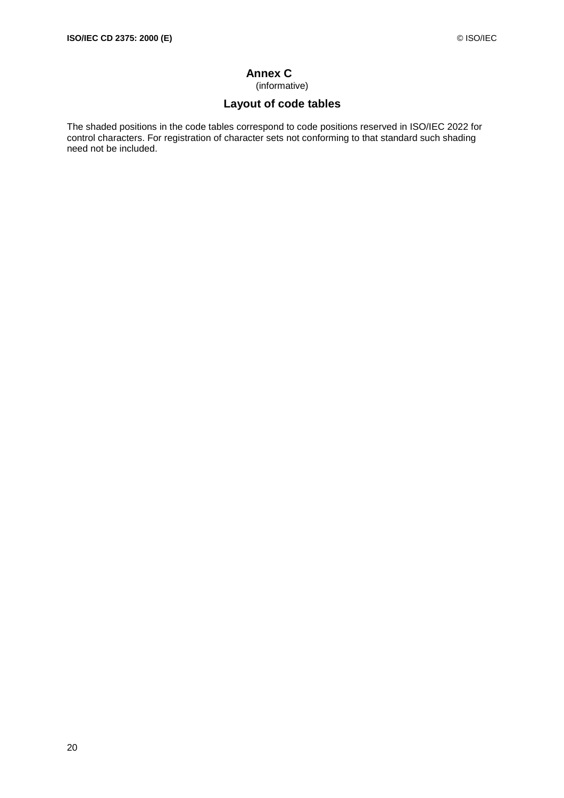## **Annex C**

(informative)

## **Layout of code tables**

The shaded positions in the code tables correspond to code positions reserved in ISO/IEC 2022 for control characters. For registration of character sets not conforming to that standard such shading need not be included.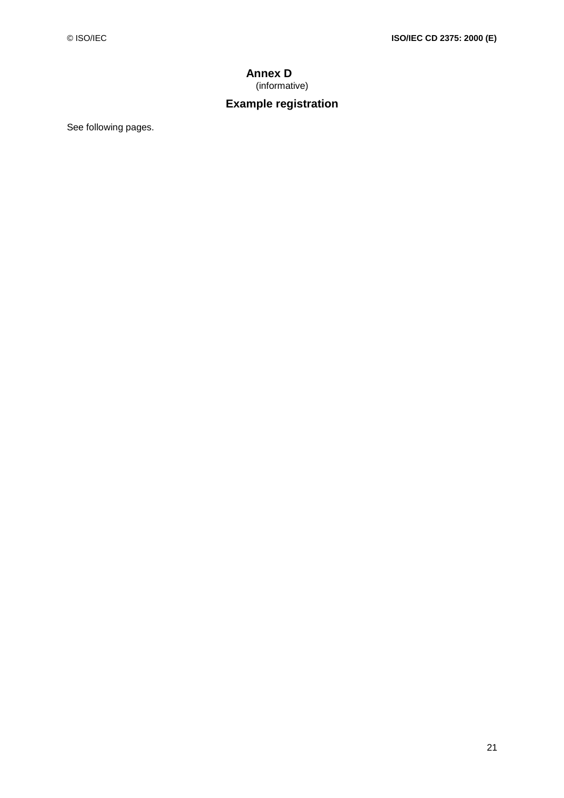## **Annex D**  (informative)

## **Example registration**

See following pages.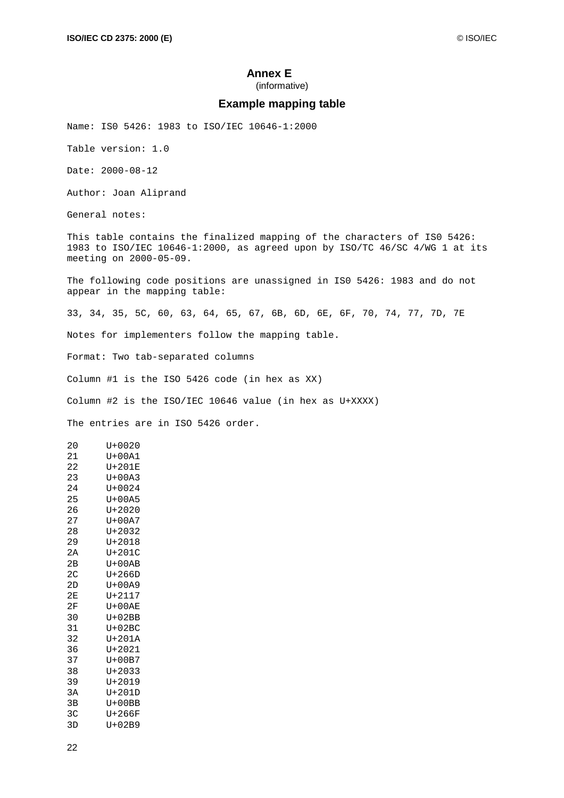### **Annex E**

(informative)

#### **Example mapping table**

Name: IS0 5426: 1983 to ISO/IEC 10646-1:2000

Table version: 1.0

Date: 2000-08-12

Author: Joan Aliprand

General notes:

This table contains the finalized mapping of the characters of IS0 5426: 1983 to ISO/IEC 10646-1:2000, as agreed upon by ISO/TC 46/SC 4/WG 1 at its meeting on 2000-05-09.

The following code positions are unassigned in IS0 5426: 1983 and do not appear in the mapping table:

33, 34, 35, 5C, 60, 63, 64, 65, 67, 6B, 6D, 6E, 6F, 70, 74, 77, 7D, 7E

Notes for implementers follow the mapping table.

Format: Two tab-separated columns

Column #1 is the ISO 5426 code (in hex as XX)

Column #2 is the ISO/IEC 10646 value (in hex as U+XXXX)

The entries are in ISO 5426 order.

20 U+0020 21 U+00A1 22 U+201E 23 U+00A3 24 U+0024 25 U+00A5 26 U+2020 27 U+00A7 28 U+2032 29 U+2018 2A U+201C 2B U+00AB 2C U+266D 2D U+00A9 2E U+2117 2F U+00AE 30 U+02BB 31 U+02BC 32 U+201A 36 U+2021 37 U+00B7 38 U+2033 39 U+2019 3A U+201D 3B U+00BB 3C U+266F 3D U+02B9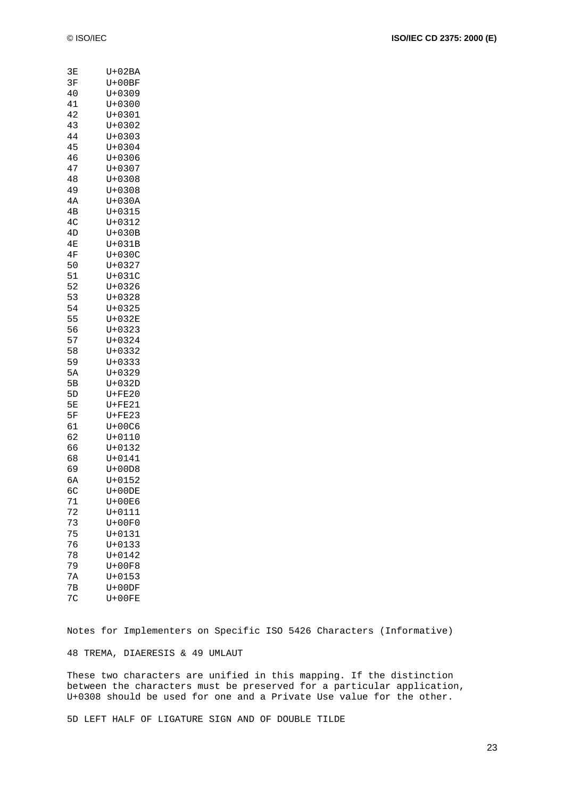| © ISO/IEC | ISO/IEC CD 2375: 2000 (E) |
|-----------|---------------------------|
|           |                           |

| 3Ε                   | U+02BA               |
|----------------------|----------------------|
| 3F                   | $U + 00BF$           |
|                      |                      |
| 40                   | U+0309               |
| 41                   | $U + 0300$           |
| 42                   | $U + 0301$           |
| 43                   | $U + 0302$           |
|                      |                      |
| 44                   | $U + 0303$           |
| 45                   | $U + 0304$           |
| 46                   | U+0306               |
|                      |                      |
| 47                   | $U + 0307$           |
| 48                   | $U + 0308$           |
| 49                   | $U + 0308$           |
|                      |                      |
| 4А                   | $U+030A$             |
| 4B                   | $U + 0315$           |
| 4 <sup>C</sup>       | $U + 0312$           |
|                      | $U+030B$             |
| 4D                   |                      |
| 4E                   | $U+031B$             |
| 4F                   | U+030C               |
|                      |                      |
| 50                   | U+0327               |
| 51                   | $U+031C$             |
| 52                   | $U + 0326$           |
| 53                   | $U + 0328$           |
|                      |                      |
| 54                   | $U + 0325$           |
| 55                   | $U+032E$             |
| 56                   | $U + 0323$           |
|                      |                      |
| 57                   | $U + 0324$           |
| 58                   | $U + 0332$           |
| 59                   | $U + 0333$           |
|                      |                      |
| 5A                   | $U + 0329$           |
| 5В                   | $U+032D$             |
| 5D                   | $U + FE20$           |
| 5E                   | $U + FE21$           |
|                      |                      |
| 5F                   | $U + FE23$           |
| 61                   | U+00C6               |
| 62                   | $U + 0110$           |
|                      |                      |
| 66                   | $U + 0132$           |
| 68                   | $U + 0141$           |
| 69                   | $U+00D8$             |
| 6A                   | $U + 0152$           |
|                      |                      |
| бC                   | $U + 00DE$           |
| 71                   | U+00E6               |
| 72                   | $U + 0111$           |
|                      |                      |
| 73                   | $U+00F0$             |
| 75                   | $U + 0131$           |
| 76                   | $U + 0133$           |
|                      |                      |
| 78                   |                      |
|                      | $U + 0142$           |
| 79                   | $U+00F8$             |
|                      |                      |
| 7A                   | $U + 0153$           |
| 7В<br>7 <sup>C</sup> | $U+00DF$<br>$U+00FE$ |

Notes for Implementers on Specific ISO 5426 Characters (Informative)

48 TREMA, DIAERESIS & 49 UMLAUT

These two characters are unified in this mapping. If the distinction between the characters must be preserved for a particular application, U+0308 should be used for one and a Private Use value for the other.

5D LEFT HALF OF LIGATURE SIGN AND OF DOUBLE TILDE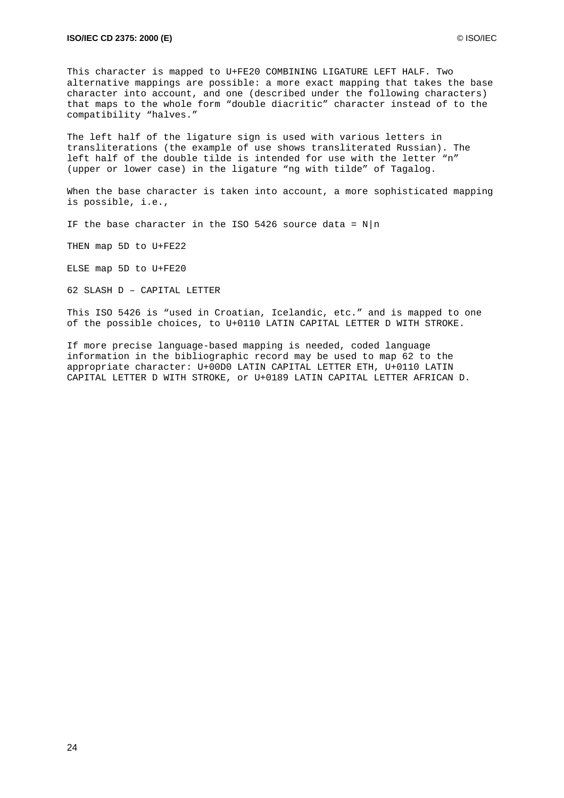This character is mapped to U+FE20 COMBINING LIGATURE LEFT HALF. Two alternative mappings are possible: a more exact mapping that takes the base character into account, and one (described under the following characters) that maps to the whole form "double diacritic" character instead of to the compatibility "halves."

The left half of the ligature sign is used with various letters in transliterations (the example of use shows transliterated Russian). The left half of the double tilde is intended for use with the letter "n" (upper or lower case) in the ligature "ng with tilde" of Tagalog.

When the base character is taken into account, a more sophisticated mapping is possible, i.e.,

IF the base character in the ISO 5426 source data =  $N|n$ 

THEN map 5D to U+FE22

ELSE map 5D to U+FE20

62 SLASH D – CAPITAL LETTER

This ISO 5426 is "used in Croatian, Icelandic, etc." and is mapped to one of the possible choices, to U+0110 LATIN CAPITAL LETTER D WITH STROKE.

If more precise language-based mapping is needed, coded language information in the bibliographic record may be used to map 62 to the appropriate character: U+00D0 LATIN CAPITAL LETTER ETH, U+0110 LATIN CAPITAL LETTER D WITH STROKE, or U+0189 LATIN CAPITAL LETTER AFRICAN D.